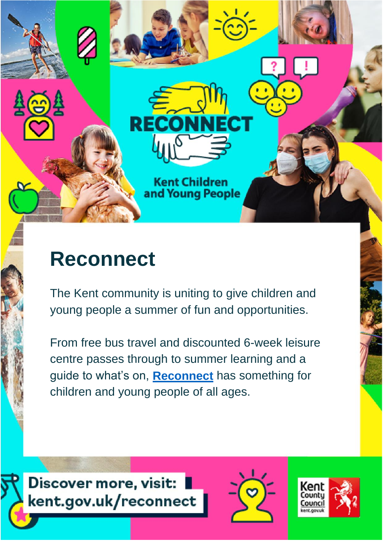

# **Reconnect**

The Kent community is uniting to give children and young people a summer of fun and opportunities.

From free bus travel and discounted 6-week leisure centre passes through to summer learning and a guide to what's on, **[Reconnect](http://www.kent.gov.uk/reconnect)** has something for children and young people of all ages.





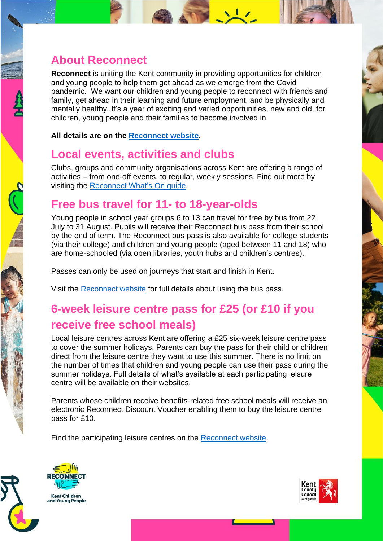#### **About Reconnect**

**Reconnect** is uniting the Kent community in providing opportunities for children and young people to help them get ahead as we emerge from the Covid pandemic. We want our children and young people to reconnect with friends and family, get ahead in their learning and future employment, and be physically and mentally healthy. It's a year of exciting and varied opportunities, new and old, for children, young people and their families to become involved in.

**All details are on the [Reconnect website.](http://www.kent.gov.uk/reconnect)**

#### **Local events, activities and clubs**

Clubs, groups and community organisations across Kent are offering a range of activities – from one-off events, to regular, weekly sessions. Find out more by visiting the [Reconnect What's On guide.](https://local.kent.gov.uk/kb5/kent/directory/whats_on.page)

#### **Free bus travel for 11- to 18-year-olds**

Young people in school year groups 6 to 13 can travel for free by bus from 22 July to 31 August. Pupils will receive their Reconnect bus pass from their school by the end of term. The Reconnect bus pass is also available for college students (via their college) and children and young people (aged between 11 and 18) who are home-schooled (via open libraries, youth hubs and children's centres).

Passes can only be used on journeys that start and finish in Kent.

Visit the [Reconnect website](https://www.kent.gov.uk/education-and-children/schools/reconnect/reconnect-activities-and-events/free-bus-travel-for-young-people) for full details about using the bus pass.

## **6-week leisure centre pass for £25 (or £10 if you receive free school meals)**

Local leisure centres across Kent are offering a £25 six-week leisure centre pass to cover the summer holidays. Parents can buy the pass for their child or children direct from the leisure centre they want to use this summer. There is no limit on the number of times that children and young people can use their pass during the summer holidays. Full details of what's available at each participating leisure centre will be available on their websites.

Parents whose children receive benefits-related free school meals will receive an electronic Reconnect Discount Voucher enabling them to buy the leisure centre pass for £10.

Find the participating leisure centres on the [Reconnect website.](https://www.kent.gov.uk/education-and-children/schools/reconnect/reconnect-activities-and-events/reconnect-leisure-centre-passes)





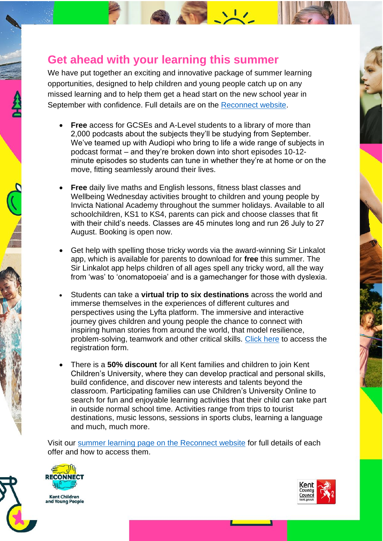#### **Get ahead with your learning this summer**

We have put together an exciting and innovative package of summer learning opportunities, designed to help children and young people catch up on any missed learning and to help them get a head start on the new school year in September with confidence. Full details are on the [Reconnect website.](https://www.kent.gov.uk/education-and-children/schools/reconnect/reconnect-activities-and-events/reconnect-with-education)

- **Free** access for GCSEs and A-Level students to a library of more than 2,000 podcasts about the subjects they'll be studying from September. We've teamed up with Audiopi who bring to life a wide range of subjects in podcast format – and they're broken down into short episodes 10-12 minute episodes so students can tune in whether they're at home or on the move, fitting seamlessly around their lives.
- **Free** daily live maths and English lessons, fitness blast classes and Wellbeing Wednesday activities brought to children and young people by Invicta National Academy throughout the summer holidays. Available to all schoolchildren, KS1 to KS4, parents can pick and choose classes that fit with their child's needs. Classes are 45 minutes long and run 26 July to 27 August. Booking is open now.
- Get help with spelling those tricky words via the award-winning Sir Linkalot app, which is available for parents to download for **free** this summer. The Sir Linkalot app helps children of all ages spell any tricky word, all the way from 'was' to 'onomatopoeia' and is a gamechanger for those with dyslexia.
- Students can take a **virtual trip to six destinations** across the world and immerse themselves in the experiences of different cultures and perspectives using the Lyfta platform. The immersive and interactive journey gives children and young people the chance to connect with inspiring human stories from around the world, that model resilience, problem-solving, teamwork and other critical skills. [Click here](https://www.lyfta.com/reconnect) to access the registration form.
- There is a **50% discount** for all Kent families and children to join Kent Children's University, where they can develop practical and personal skills, build confidence, and discover new interests and talents beyond the classroom. Participating families can use Children's University Online to search for fun and enjoyable learning activities that their child can take part in outside normal school time. Activities range from trips to tourist destinations, music lessons, sessions in sports clubs, learning a language and much, much more.

Visit our [summer learning page on the Reconnect website](https://www.kent.gov.uk/education-and-children/schools/reconnect/reconnect-activities-and-events/reconnect-with-education) for full details of each offer and how to access them.